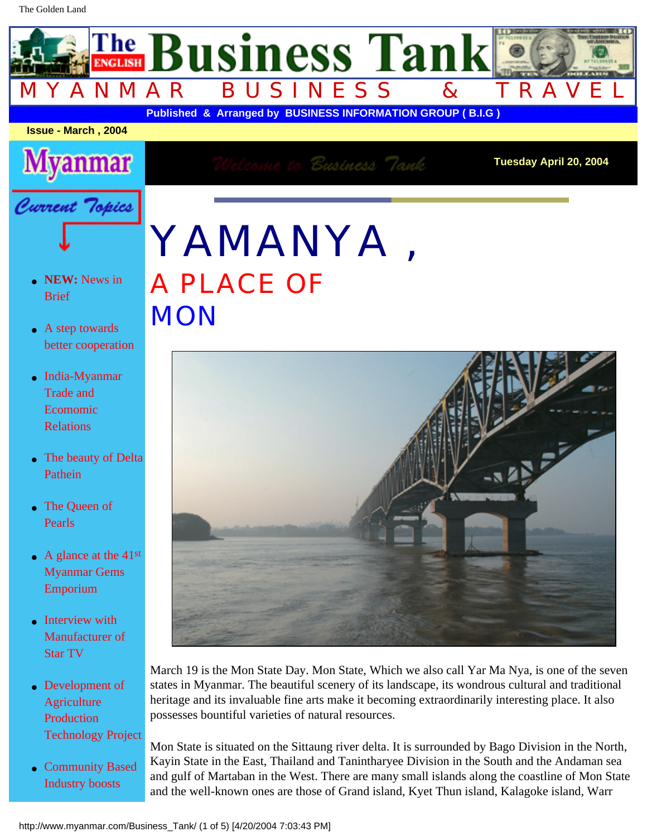## YAMANYA , A PLACE OF **MON**



March 19 is the Mon State Day. Mon State, Which we also call Yar Ma Nya, is one of the seven states in Myanmar. The beautiful scenery of its landscape, its wondrous cultural and traditional heritage and its invaluable fine arts make it becoming extraordinarily interesting place. It also possesses bountiful varieties of natural resources.

Mon State is situated on the Sittaung river delta. It is surrounded by Bago Division in the North, Kayin State in the East, Thailand and Tanintharyee Division in the South and the Andaman sea and gulf of Martaban in the West. There are many small islands along the coastline of Mon State and the well-known ones are those of Grand island, Kyet Thun island, Kalagoke island, Warr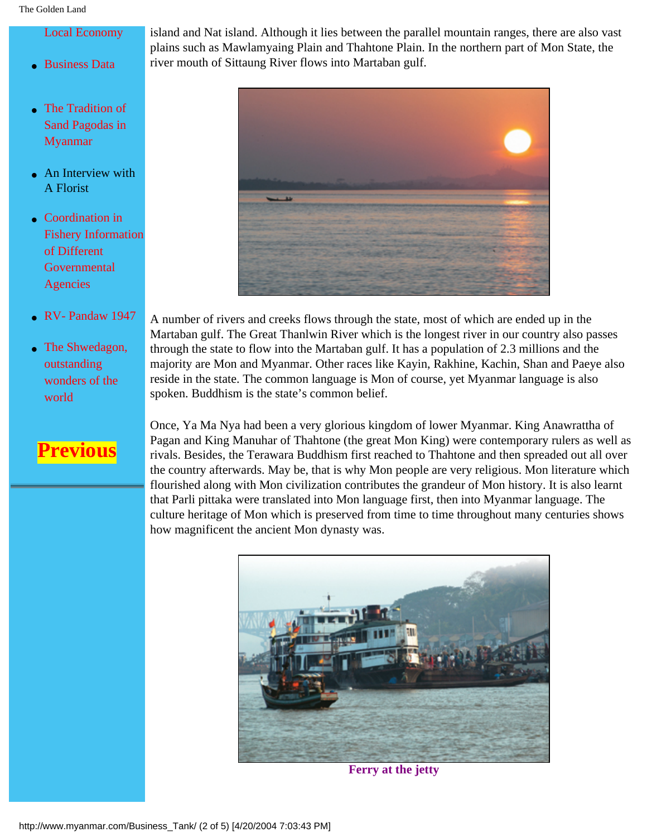island and Nat island. Although it lies between the parallel mountain ranges, there are also vast plains such as Mawlamyaing Plain and Thahtone Plain. In the northern part of Mon State, the river mouth of Sittaung River flows into Martaban gulf.



[Fishery Information](http://www.myanmar.com/Business_Tank/coordination.html)

A number of rivers and creeks flows through the state, most of which are ended up in the Martaban gulf. The Great Thanlwin River which is the longest river in our country also passes through the state to flow into the Martaban gulf. It has a population of 2.3 millions and the majority are Mon and Myanmar. Other races like Kayin, Rakhine, Kachin, Shan and Paeye also reside in the state. The common language is Mon of course, yet Myanmar language is also spoken. Buddhism is the state's common belief.

Once, Ya Ma Nya had been a very glorious kingdom of lower Myanmar. King Anawrattha of Pagan and King Manuhar of Thahtone (the great Mon King) were contemporary rulers as well as rivals. Besides, the Terawara Buddhism first reached to Thahtone and then spreaded out all over the country afterwards. May be, that is why Mon people are very religious. Mon literature which flourished along with Mon civilization contributes the grandeur of Mon history. It is also learnt that Parli pittaka were translated into Mon language first, then into Myanmar language. The culture heritage of Mon which is preserved from time to time throughout many centuries shows how magnificent the ancient Mon dynasty was.



**Ferry at the jetty**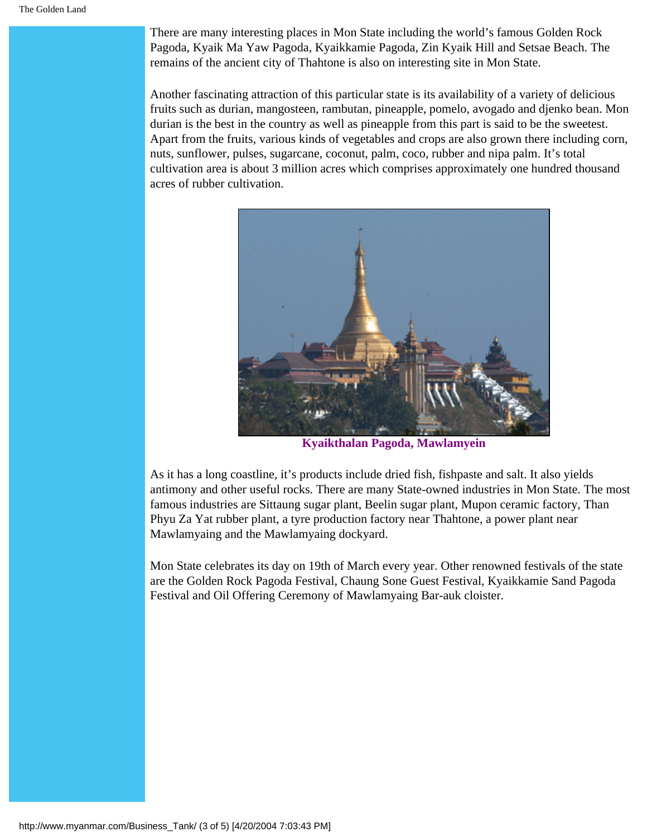There are many interesting places in Mon State including the world's famous Golden Rock Pagoda, Kyaik Ma Yaw Pagoda, Kyaikkamie Pagoda, Zin Kyaik Hill and Setsae Beach. The remains of the ancient city of Thahtone is also on interesting site in Mon State.

Another fascinating attraction of this particular state is its availability of a variety of delicious fruits such as durian, mangosteen, rambutan, pineapple, pomelo, avogado and djenko bean. Mon durian is the best in the country as well as pineapple from this part is said to be the sweetest. Apart from the fruits, various kinds of vegetables and crops are also grown there including corn, nuts, sunflower, pulses, sugarcane, coconut, palm, coco, rubber and nipa palm. It's total cultivation area is about 3 million acres which comprises approximately one hundred thousand acres of rubber cultivation.



**Kyaikthalan Pagoda, Mawlamyein**

As it has a long coastline, it's products include dried fish, fishpaste and salt. It also yields antimony and other useful rocks. There are many State-owned industries in Mon State. The most famous industries are Sittaung sugar plant, Beelin sugar plant, Mupon ceramic factory, Than Phyu Za Yat rubber plant, a tyre production factory near Thahtone, a power plant near Mawlamyaing and the Mawlamyaing dockyard.

Mon State celebrates its day on 19th of March every year. Other renowned festivals of the state are the Golden Rock Pagoda Festival, Chaung Sone Guest Festival, Kyaikkamie Sand Pagoda Festival and Oil Offering Ceremony of Mawlamyaing Bar-auk cloister.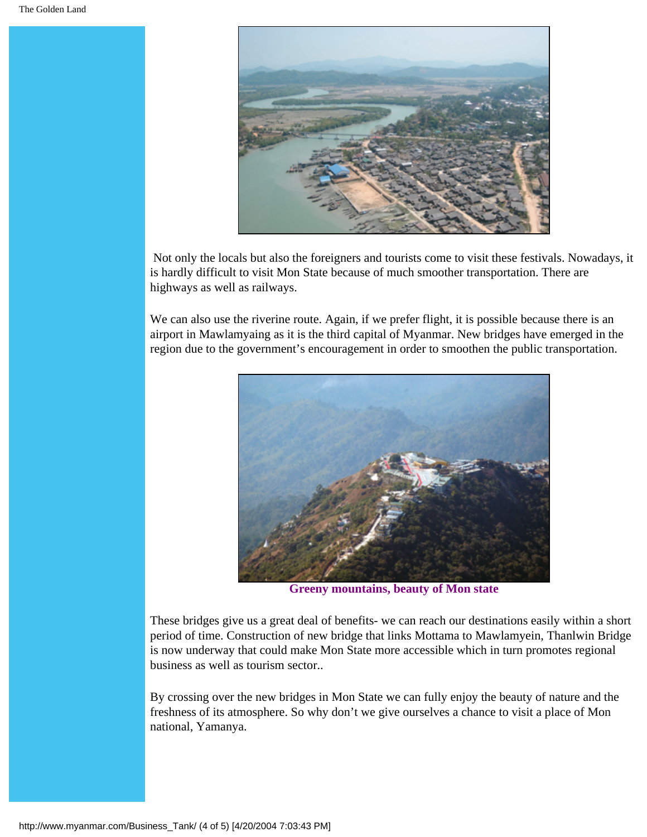

 Not only the locals but also the foreigners and tourists come to visit these festivals. Nowadays, it is hardly difficult to visit Mon State because of much smoother transportation. There are highways as well as railways.

We can also use the riverine route. Again, if we prefer flight, it is possible because there is an airport in Mawlamyaing as it is the third capital of Myanmar. New bridges have emerged in the region due to the government's encouragement in order to smoothen the public transportation.



**Greeny mountains, beauty of Mon state**

These bridges give us a great deal of benefits- we can reach our destinations easily within a short period of time. Construction of new bridge that links Mottama to Mawlamyein, Thanlwin Bridge is now underway that could make Mon State more accessible which in turn promotes regional business as well as tourism sector..

By crossing over the new bridges in Mon State we can fully enjoy the beauty of nature and the freshness of its atmosphere. So why don't we give ourselves a chance to visit a place of Mon national, Yamanya.